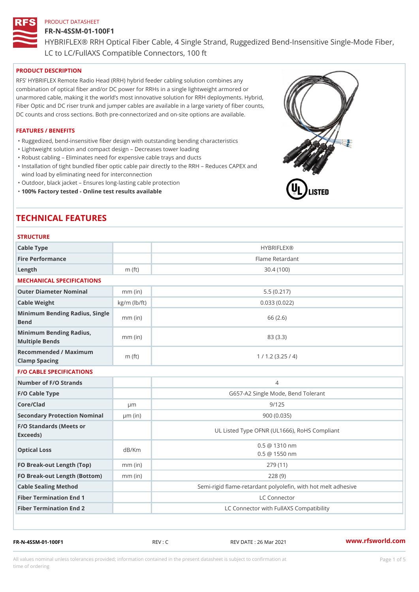#### FR-N-4SSM-01-100F1

HYBRIFLEX® RRH Optical Fiber Cable, 4 Single Strand, Ruggedized Be

LC to LC/FullAXS Compatible Connectors, 100 ft

### PRODUCT DESCRIPTION

RFS HYBRIFLEX Remote Radio Head (RRH) hybrid feeder cabling solution combines any combination of optical fiber and/or DC power for RRHs in a single lightweight armored or unarmored cable, making it the world s most innovative solution for RRH deployments. Hybrid, Fiber Optic and DC riser trunk and jumper cables are available in a large variety of fiber counts, DC counts and cross sections. Both pre-connectorized and on-site options are available.

#### FEATURES / BENEFITS

- "Ruggedized, bend-insensitive fiber design with outstanding bending characteristics
- "Lightweight solution and compact design Decreases tower loading
- "Robust cabling Eliminates need for expensive cable trays and ducts
- "Installation of tight bundled fiber optic cable pair directly to the RRH Aeduces CAPEX and wind load by eliminating need for interconnection
- "Outdoor, black jacket Ensures long-lasting cable protection
- "100% Factory tested Online test results available

# TECHNICAL FEATURES

# STRUCTURE.

| Cable Type                                        |                    | <b>HYBRIFLEX®</b>                                       |
|---------------------------------------------------|--------------------|---------------------------------------------------------|
| Fire Performance                                  |                    | Flame Retardant                                         |
| Length                                            | $m$ (ft)           | 30.4(100)                                               |
| MECHANICAL SPECIFICATIONS                         |                    |                                                         |
| Outer Diameter Nominal                            | $mm$ (in)          | 5.5(0.217)                                              |
| Cable Weight                                      | $kg/m$ ( $lb/ft$ ) | 0.033(0.022)                                            |
| Minimum Bending Radius, Single<br>Bend            |                    | 66 (2.6)                                                |
| Minimum Bending Radius, mm (in)<br>Multiple Bends |                    | 83 (3.3)                                                |
| Recommended / Maximum<br>Clamp Spacing            | m $(ft)$           | 1 / 1.2 (3.25 / 4)                                      |
| <b>F/O CABLE SPECIFICATIONS</b>                   |                    |                                                         |
| Number of F/O Strands                             |                    | 4                                                       |
| F/O Cable Type                                    |                    | G657-A2 Single Mode, Bend Tolerant                      |
| Core/Clad                                         | $\mu$ m            | 9/125                                                   |
| Secondary Protection Nomimal(in)                  |                    | 900 (0.035)                                             |
| F/O Standards (Meets or<br>Exceeds)               |                    | UL Listed Type OFNR (UL1666), RoHS Compliant            |
| Optical Loss                                      | dB/Km              | $0.5 \ @ \ 1310 \ nm$<br>$0.5 \t@ 1550 nm$              |
| FO Break-out Length (Top)mm (in)                  |                    | 279 (11)                                                |
| FO Break-out Length (Bottomm) (in)                |                    | 228(9)                                                  |
| Cable Sealing Method                              |                    | Semi-rigid flame-retardant polyolefin, with hot melt ad |
| Fiber Termination End                             |                    | LC Connector                                            |
| Fiber Termination End 2                           |                    | LC Connector with FullAXS Compatibility                 |

FR-N-4SSM-01-100F1 REV : C REV DATE : 26 Mar 2021 [www.](https://www.rfsworld.com)rfsworld.com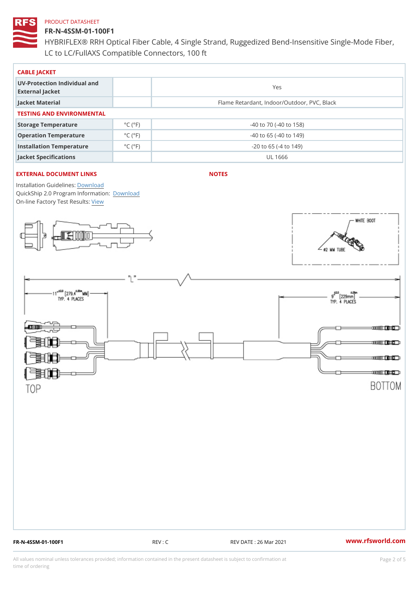## FR-N-4SSM-01-100F1

HYBRIFLEX® RRH Optical Fiber Cable, 4 Single Strand, Ruggedized Be LC to LC/FullAXS Compatible Connectors, 100 ft

| CABLE JACKET                                    |                             |                                             |  |  |
|-------------------------------------------------|-----------------------------|---------------------------------------------|--|--|
| UV-Protection Individual and<br>External Jacket |                             | Yes                                         |  |  |
| Jacket Material                                 |                             | Flame Retardant, Indoor/Outdoor, PVC, Black |  |  |
| TESTING AND ENVIRONMENTAL                       |                             |                                             |  |  |
| Storage Temperature                             | $^{\circ}$ C ( $^{\circ}$ F | $-40$ to $70$ ( $-40$ to $158$ )            |  |  |
| Operation Temperature                           | $^{\circ}$ C ( $^{\circ}$ F | $-40$ to 65 ( $-40$ to 149)                 |  |  |
| Installation Temperature                        | $^{\circ}$ C ( $^{\circ}$ F | $-20$ to 65 ( $-4$ to 149)                  |  |  |
| Jacket Specifications                           |                             | UL 1666                                     |  |  |

### EXTERNAL DOCUMENT LINKS

NOTES

Installation Guidelwinessad QuickShip 2.0 Program [Informa](http://www.rfsworld.com/images/hybriflex/quickship_program_2.pdf)tion: On-line Factory Te[s](https://www.rfsworld.com/pictures/userfiles/programs/AAST Latest Version.zip)teResults:

FR-N-4SSM-01-100F1 REV : C REV DATE : 26 Mar 2021 [www.](https://www.rfsworld.com)rfsworld.com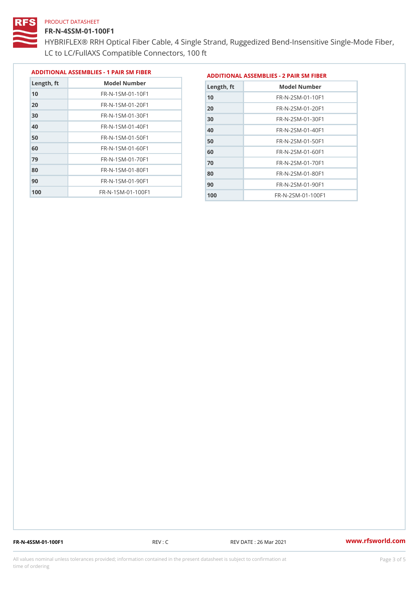#### FR-N-4SSM-01-100F1

 FR-N-1SM-01-90F1 FR-N-1SM-01-100F1

HYBRIFLEX® RRH Optical Fiber Cable, 4 Single Strand, Ruggedized Be LC to LC/FullAXS Compatible Connectors, 100 ft

> FR-N-2SM-01-80F1 FR-N-2SM-01-90F1 FR-N-2SM-01-100F1

|               |                              |               | ADDITIONAL ASSEMBLIES - 1 PAIR SM FIBERDDITIONAL ASSEMBLIES - 2 PAIR SM FIBER |
|---------------|------------------------------|---------------|-------------------------------------------------------------------------------|
| $L$ ength, ft | Model Number                 | Length, ft    | Model Number                                                                  |
| 10            | $FR - N - 1 SM - 01 - 10F1$  | 10            | $FR - N - 2 SM - 01 - 10F1$                                                   |
| 20            | $FR - N - 1 SM - 01 - 20 F1$ | 20            | $FR - N - 2 SM - 01 - 20 F1$                                                  |
| 30            | FR-N-1SM-01-30F1             | 30            | $FR - N - 2 SM - 01 - 30 F1$                                                  |
| 40            | $FR - N - 1 SM - 01 - 40 F1$ | 40            | $FR - N - 2 SM - 01 - 40 F1$                                                  |
| 50            | $FR - N - 1 SM - 01 - 50 F1$ | 50            | $FR - N - 2 SM - 01 - 50 F1$                                                  |
| 60            | $FR - N - 1 SM - 01 - 60 F1$ | 60            | $FR - N - 2 SM - 01 - 60 F1$                                                  |
| 79            | $FR - N - 1 SM - 01 - 70 F1$ | 70            | $FR - N - 2 SM - 01 - 70 F1$                                                  |
| 80            | $FR - N - 1 SM - 01 - 80 F1$ | $\sim$ $\sim$ | $F P$ II COM CA COFA                                                          |

FR-N-4SSM-01-100F1 REV : C REV DATE : 26 Mar 2021 [www.](https://www.rfsworld.com)rfsworld.com

All values nominal unless tolerances provided; information contained in the present datasheet is subject to Pcapgeling that i time of ordering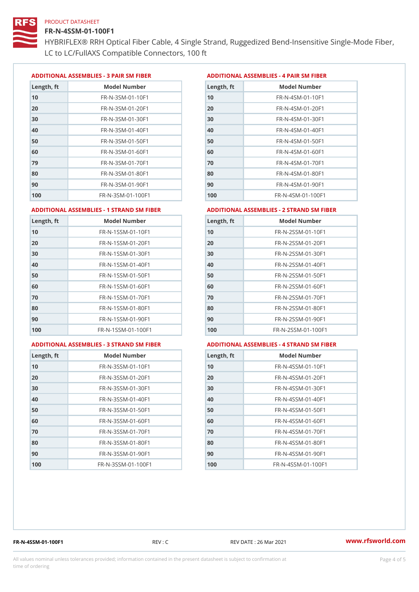#### FR-N-4SSM-01-100F1

HYBRIFLEX® RRH Optical Fiber Cable, 4 Single Strand, Ruggedized Be LC to LC/FullAXS Compatible Connectors, 100 ft

ADDITIONAL ASSEMBLIES - 3 PAIR SM FIBERED DITIONAL ASSEMBLIES - 4 PAIR SM FIBER

| Length, ft | Model Number                   |
|------------|--------------------------------|
| 10         | $FR - N - 3 S M - 01 - 10 F1$  |
| 20         | FR-N-3SM-01-20F1               |
| 30         | FR-N-3SM-01-30F1               |
| 40         | $FR - N - 3 S M - 01 - 40 F1$  |
| 50         | FR-N-3SM-01-50F1               |
| 60         | $FR - N - 3 S M - 01 - 60 F1$  |
| 79         | $FR - N - 3 S M - 01 - 70 F1$  |
| 80         | $FR - N - 3 S M - 01 - 80 F1$  |
| 90         | FR-N-3SM-01-90F1               |
| 100        | $FR - N - 3 S M - 01 - 100 F1$ |

| Length, ft | Model Number                   |
|------------|--------------------------------|
| 10         | $FR - N - 4 S M - 01 - 10 F1$  |
| 20         | $FR - N - 4 S M - 01 - 20 F1$  |
| 30         | $FR - N - 4 S M - 01 - 30 F1$  |
| 40         | $FR - N - 4 SM - 01 - 40 F1$   |
| 50         | $FR - N - 4 S M - 01 - 50 F1$  |
| 60         | $FR - N - 4 SM - 01 - 60 F1$   |
| 70         | FR-N-4SM-01-70F1               |
| 80         | $FR - N - 4 S M - 01 - 80 F1$  |
| 90         | FR-N-4SM-01-90F1               |
| 100        | $FR - N - 4 S M - 01 - 100 F1$ |

#### ADDITIONAL ASSEMBLIES - 1 STRAND SM FABSDRTIONAL ASSEMBLIES - 2 STRAND SM FIBER

| 10<br>10<br>FR-N-1SSM-01-10F1<br>FR-N-2SSM-01-10F1<br>20<br>20<br>FR-N-1SSM-01-20F1<br>FR-N-2SSM-01-20F1<br>30<br>FR-N-1SSM-01-30F1<br>30<br>FR-N-2SSM-01-30F1<br>40<br>$FR - N - 1$ S S M - 01 - 40 F 1<br>$FR - N - 2SSM - 01 - 40F1$<br>40<br>50<br>50<br>FR-N-1SSM-01-50F1<br>$FR - N - 2SSM - 01 - 50F1$<br>60<br>$FR - N - 1$ S S M - 01 - 60 F 1<br>60<br>FR-N-2SSM-01-60F1 | Length, ft |
|------------------------------------------------------------------------------------------------------------------------------------------------------------------------------------------------------------------------------------------------------------------------------------------------------------------------------------------------------------------------------------|------------|
|                                                                                                                                                                                                                                                                                                                                                                                    |            |
|                                                                                                                                                                                                                                                                                                                                                                                    |            |
|                                                                                                                                                                                                                                                                                                                                                                                    |            |
|                                                                                                                                                                                                                                                                                                                                                                                    |            |
|                                                                                                                                                                                                                                                                                                                                                                                    |            |
|                                                                                                                                                                                                                                                                                                                                                                                    |            |
| $FR - N - 1$ S S M - 01 - 70 F 1<br>70<br>$FR - N - 2$ S S M - 01 - 70 F 1                                                                                                                                                                                                                                                                                                         | 70         |
| 80<br>FR-N-1SSM-01-80F1<br>80<br>FR-N-2SSM-01-80F1                                                                                                                                                                                                                                                                                                                                 |            |
| 90<br>FR-N-1SSM-01-90F1<br>FR-N-2SSM-01-90F1<br>90                                                                                                                                                                                                                                                                                                                                 |            |
| 100<br>$FR - N - 1$ S S M - 01 - 100 F 1<br>$FR - N - 2$ S S M - 01 - 100 F 1<br>100                                                                                                                                                                                                                                                                                               |            |

#### ADDITIONAL ASSEMBLIES - 3 STRAND SM FABSDRTIONAL ASSEMBLIES - 4 STRAND SM FIBER

| Length, ft | Model Number                    |
|------------|---------------------------------|
| 10         | $FR - N - 3 S S M - 01 - 10 F1$ |
| 20         | FR-N-3SSM-01-20F1               |
| 30         | FR-N-3SSM-01-30F1               |
| 40         | $FR - N - 3 S S M - 01 - 40 F1$ |
| 50         | $FR - N - 3 S S M - 01 - 50 F1$ |
| 60         | FR-N-3SSM-01-60F1               |
| 70         | FR-N-3SSM-01-70F1               |
| 80         | FR-N-3SSM-01-80F1               |
| 90         | $FR - N - 3 S S M - 01 - 90 F1$ |
| 100        | FR-N-3SSM-01-100F1              |

| Length, ft | Model Number                     |
|------------|----------------------------------|
| 10         | FR-N-4SSM-01-10F1                |
| 20         | $FR - N - 4 S S M - 01 - 20 F1$  |
| 30         | $FR - N - 4$ S S M - 01 - 30 F 1 |
| 40         | $FR - N - 4 S S M - 01 - 40 F1$  |
| 50         | FR-N-4SSM-01-50F1                |
| 60         | FR-N-4SSM-01-60F1                |
| 70         | $FR - N - 4$ S S M - 01 - 70 F 1 |
| 80         | FR-N-4SSM-01-80F1                |
| 90         | FR-N-4SSM-01-90F1                |
| 100        | FR-N-4SSM-01-100F1               |

FR-N-4SSM-01-100F1 REV : C REV DATE : 26 Mar 2021 [www.](https://www.rfsworld.com)rfsworld.com

All values nominal unless tolerances provided; information contained in the present datasheet is subject to Pcapgnéig4m ssti time of ordering